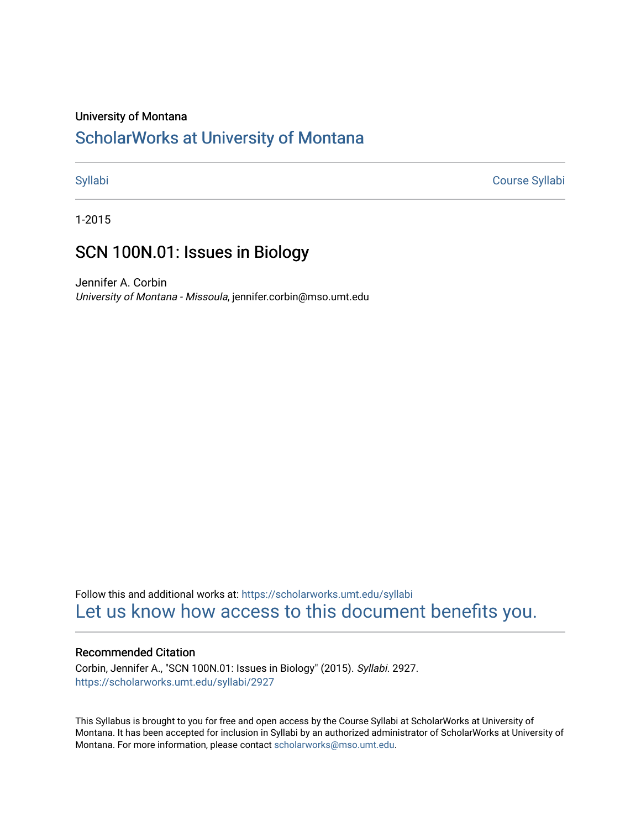#### University of Montana

## [ScholarWorks at University of Montana](https://scholarworks.umt.edu/)

[Syllabi](https://scholarworks.umt.edu/syllabi) [Course Syllabi](https://scholarworks.umt.edu/course_syllabi) 

1-2015

### SCN 100N.01: Issues in Biology

Jennifer A. Corbin University of Montana - Missoula, jennifer.corbin@mso.umt.edu

Follow this and additional works at: [https://scholarworks.umt.edu/syllabi](https://scholarworks.umt.edu/syllabi?utm_source=scholarworks.umt.edu%2Fsyllabi%2F2927&utm_medium=PDF&utm_campaign=PDFCoverPages)  [Let us know how access to this document benefits you.](https://goo.gl/forms/s2rGfXOLzz71qgsB2) 

#### Recommended Citation

Corbin, Jennifer A., "SCN 100N.01: Issues in Biology" (2015). Syllabi. 2927. [https://scholarworks.umt.edu/syllabi/2927](https://scholarworks.umt.edu/syllabi/2927?utm_source=scholarworks.umt.edu%2Fsyllabi%2F2927&utm_medium=PDF&utm_campaign=PDFCoverPages)

This Syllabus is brought to you for free and open access by the Course Syllabi at ScholarWorks at University of Montana. It has been accepted for inclusion in Syllabi by an authorized administrator of ScholarWorks at University of Montana. For more information, please contact [scholarworks@mso.umt.edu.](mailto:scholarworks@mso.umt.edu)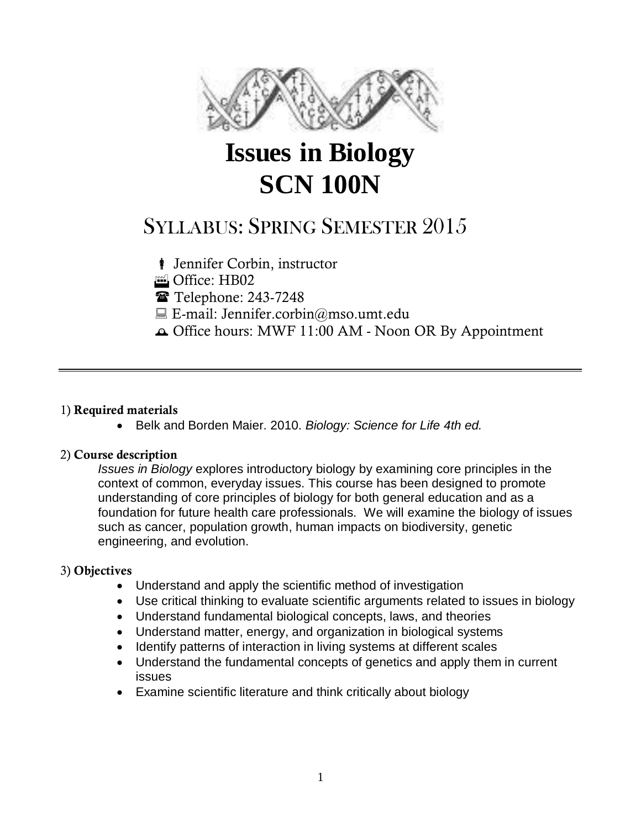

# **Issues in Biology SCN 100N**

## SYLLABUS: SPRING SEMESTER 2015

**i** Jennifer Corbin, instructor

Office: HB02

Telephone: 243-7248

 $\Box$  E-mail: Jennifer.corbin@mso.umt.edu

Office hours: MWF 11:00 AM - Noon OR By Appointment

#### 1) **Required materials**

Belk and Borden Maier. 2010. *Biology: Science for Life 4th ed.*

#### 2) **Course description**

*Issues in Biology* explores introductory biology by examining core principles in the context of common, everyday issues. This course has been designed to promote understanding of core principles of biology for both general education and as a foundation for future health care professionals. We will examine the biology of issues such as cancer, population growth, human impacts on biodiversity, genetic engineering, and evolution.

#### 3) **Objectives**

- Understand and apply the scientific method of investigation
- Use critical thinking to evaluate scientific arguments related to issues in biology
- Understand fundamental biological concepts, laws, and theories
- Understand matter, energy, and organization in biological systems
- Identify patterns of interaction in living systems at different scales
- Understand the fundamental concepts of genetics and apply them in current issues
- Examine scientific literature and think critically about biology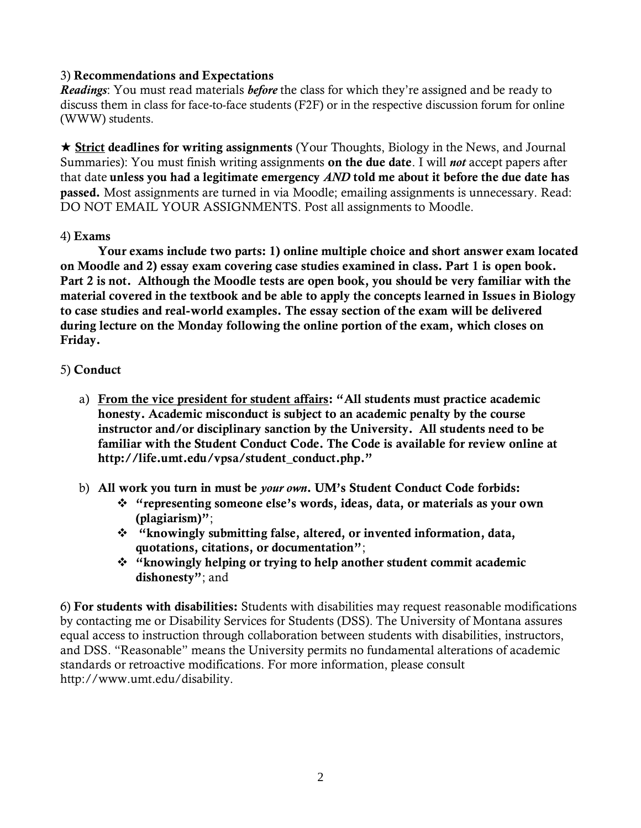#### 3) **Recommendations and Expectations**

*Readings*: You must read materials *before* the class for which they're assigned and be ready to discuss them in class for face-to-face students (F2F) or in the respective discussion forum for online (WWW) students.

 **Strict deadlines for writing assignments** (Your Thoughts, Biology in the News, and Journal Summaries): You must finish writing assignments **on the due date**. I will *not* accept papers after that date **unless you had a legitimate emergency** *AND* **told me about it before the due date has passed.** Most assignments are turned in via Moodle; emailing assignments is unnecessary. Read: DO NOT EMAIL YOUR ASSIGNMENTS. Post all assignments to Moodle.

#### 4) **Exams**

**Your exams include two parts: 1) online multiple choice and short answer exam located on Moodle and 2) essay exam covering case studies examined in class. Part 1 is open book. Part 2 is not. Although the Moodle tests are open book, you should be very familiar with the material covered in the textbook and be able to apply the concepts learned in Issues in Biology to case studies and real-world examples. The essay section of the exam will be delivered during lecture on the Monday following the online portion of the exam, which closes on Friday.** 

#### 5) **Conduct**

- a) **From the vice president for student affairs: "All students must practice academic honesty. Academic misconduct is subject to an academic penalty by the course instructor and/or disciplinary sanction by the University. All students need to be familiar with the Student Conduct Code. The Code is available for review online at http://life.umt.edu/vpsa/student\_conduct.php."**
- b) **All work you turn in must be** *your own***. UM's Student Conduct Code forbids:**
	- **"representing someone else's words, ideas, data, or materials as your own (plagiarism)"**;
	- **"knowingly submitting false, altered, or invented information, data, quotations, citations, or documentation"**;
	- **"knowingly helping or trying to help another student commit academic dishonesty"**; and

6) **For students with disabilities:** Students with disabilities may request reasonable modifications by contacting me or Disability Services for Students (DSS). The University of Montana assures equal access to instruction through collaboration between students with disabilities, instructors, and DSS. "Reasonable" means the University permits no fundamental alterations of academic standards or retroactive modifications. For more information, please consult http://www.umt.edu/disability.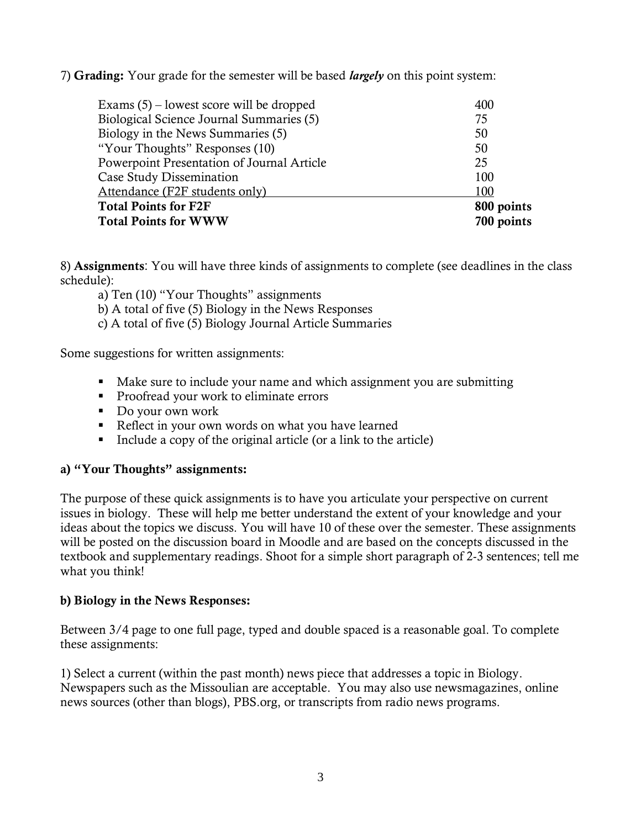7) **Grading:** Your grade for the semester will be based *largely* on this point system:

| Exams $(5)$ – lowest score will be dropped | 400        |
|--------------------------------------------|------------|
| Biological Science Journal Summaries (5)   | 75         |
| Biology in the News Summaries (5)          | 50         |
| "Your Thoughts" Responses (10)             | 50         |
| Powerpoint Presentation of Journal Article | 25         |
| Case Study Dissemination                   | 100        |
| Attendance (F2F students only)             | 100        |
| <b>Total Points for F2F</b>                | 800 points |
| <b>Total Points for WWW</b>                | 700 points |

8) **Assignments**: You will have three kinds of assignments to complete (see deadlines in the class schedule):

- a) Ten (10) "Your Thoughts" assignments
- b) A total of five (5) Biology in the News Responses
- c) A total of five (5) Biology Journal Article Summaries

Some suggestions for written assignments:

- Make sure to include your name and which assignment you are submitting
- **Proofread your work to eliminate errors**
- Do your own work
- Reflect in your own words on what you have learned
- Include a copy of the original article (or a link to the article)

#### **a) "Your Thoughts" assignments:**

The purpose of these quick assignments is to have you articulate your perspective on current issues in biology. These will help me better understand the extent of your knowledge and your ideas about the topics we discuss. You will have 10 of these over the semester. These assignments will be posted on the discussion board in Moodle and are based on the concepts discussed in the textbook and supplementary readings. Shoot for a simple short paragraph of 2-3 sentences; tell me what you think!

#### **b) Biology in the News Responses:**

Between 3/4 page to one full page, typed and double spaced is a reasonable goal. To complete these assignments:

1) Select a current (within the past month) news piece that addresses a topic in Biology. Newspapers such as the Missoulian are acceptable. You may also use newsmagazines, online news sources (other than blogs), PBS.org, or transcripts from radio news programs.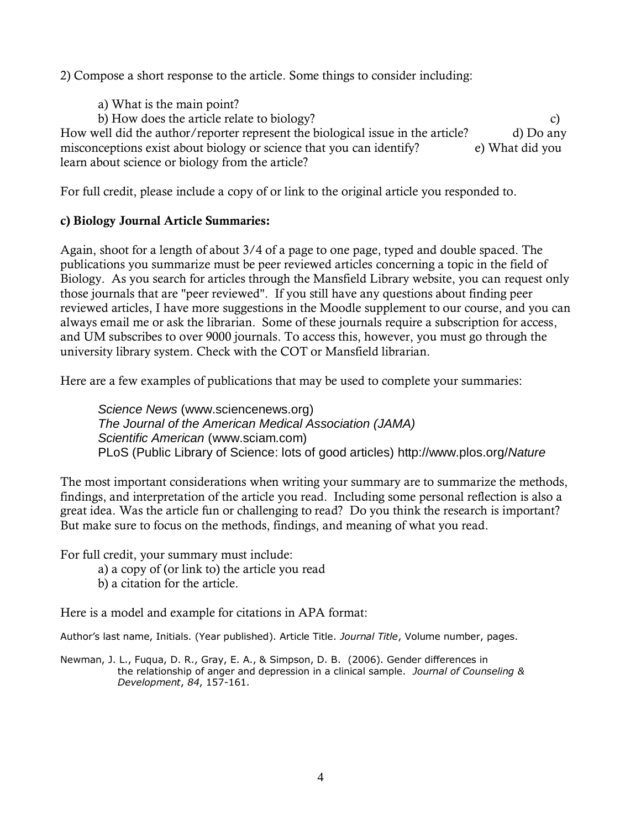2) Compose a short response to the article. Some things to consider including:

a) What is the main point? b) How does the article relate to biology? How well did the author/reporter represent the biological issue in the article? d) Do any misconceptions exist about biology or science that you can identify? e) What did you learn about science or biology from the article?

For full credit, please include a copy of or link to the original article you responded to.

#### **c) Biology Journal Article Summaries:**

Again, shoot for a length of about 3/4 of a page to one page, typed and double spaced. The publications you summarize must be peer reviewed articles concerning a topic in the field of Biology. As you search for articles through the Mansfield Library website, you can request only those journals that are "peer reviewed". If you still have any questions about finding peer reviewed articles, I have more suggestions in the Moodle supplement to our course, and you can always email me or ask the librarian. Some of these journals require a subscription for access, and UM subscribes to over 9000 journals. To access this, however, you must go through the university library system. Check with the COT or Mansfield librarian.

Here are a few examples of publications that may be used to complete your summaries:

*Science News* [\(www.sciencenews.org\)](http://www.sciencenews.org/) *The Journal of the American Medical Association (JAMA) Scientific American* [\(www.sciam.com\)](http://www.sciam.com/) PLoS (Public Library of Science: lots of good articles) [http://www.plos.org/](http://www.plos.org/Nature)*Nature*

The most important considerations when writing your summary are to summarize the methods, findings, and interpretation of the article you read. Including some personal reflection is also a great idea. Was the article fun or challenging to read? Do you think the research is important? But make sure to focus on the methods, findings, and meaning of what you read.

For full credit, your summary must include:

- a) a copy of (or link to) the article you read
- b) a citation for the article.

Here is a model and example for citations in APA format:

Author's last name, Initials. (Year published). Article Title. *Journal Title*, Volume number, pages.

Newman, J. L., Fuqua, D. R., Gray, E. A., & Simpson, D. B. (2006). Gender differences in the relationship of anger and depression in a clinical sample. *Journal of Counseling & Development*, *84*, 157-161.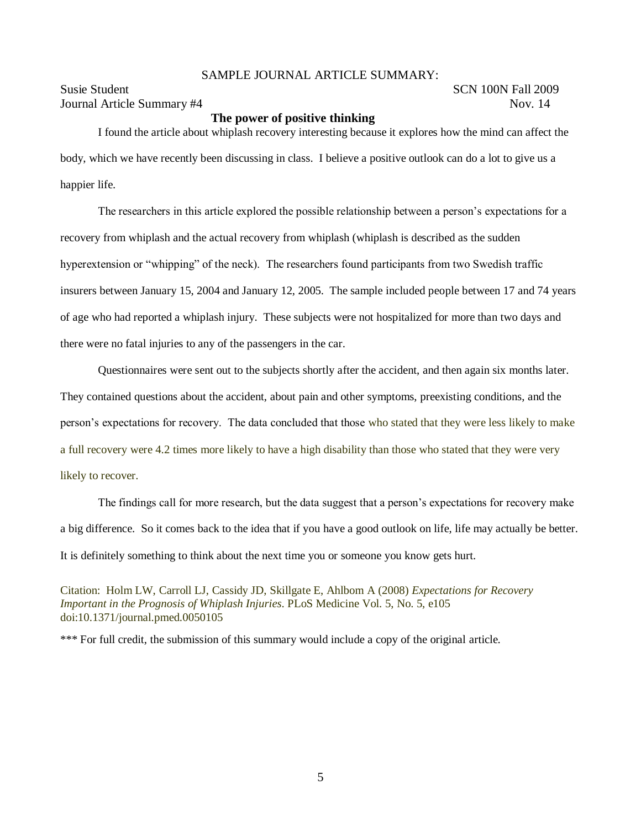#### SAMPLE JOURNAL ARTICLE SUMMARY:

Susie Student SCN 100N Fall 2009 Journal Article Summary #4 Nov. 14

#### **The power of positive thinking**

I found the article about whiplash recovery interesting because it explores how the mind can affect the body, which we have recently been discussing in class. I believe a positive outlook can do a lot to give us a happier life.

The researchers in this article explored the possible relationship between a person's expectations for a recovery from whiplash and the actual recovery from whiplash (whiplash is described as the sudden hyperextension or "whipping" of the neck). The researchers found participants from two Swedish traffic insurers between January 15, 2004 and January 12, 2005. The sample included people between 17 and 74 years of age who had reported a whiplash injury. These subjects were not hospitalized for more than two days and there were no fatal injuries to any of the passengers in the car.

Questionnaires were sent out to the subjects shortly after the accident, and then again six months later. They contained questions about the accident, about pain and other symptoms, preexisting conditions, and the person's expectations for recovery. The data concluded that those who stated that they were less likely to make a full recovery were 4.2 times more likely to have a high disability than those who stated that they were very likely to recover.

The findings call for more research, but the data suggest that a person's expectations for recovery make a big difference. So it comes back to the idea that if you have a good outlook on life, life may actually be better. It is definitely something to think about the next time you or someone you know gets hurt.

Citation: Holm LW, Carroll LJ, Cassidy JD, Skillgate E, Ahlbom A (2008) *Expectations for Recovery Important in the Prognosis of Whiplash Injuries*. PLoS Medicine Vol. 5, No. 5, e105 doi:10.1371/journal.pmed.0050105

\*\*\* For full credit, the submission of this summary would include a copy of the original article.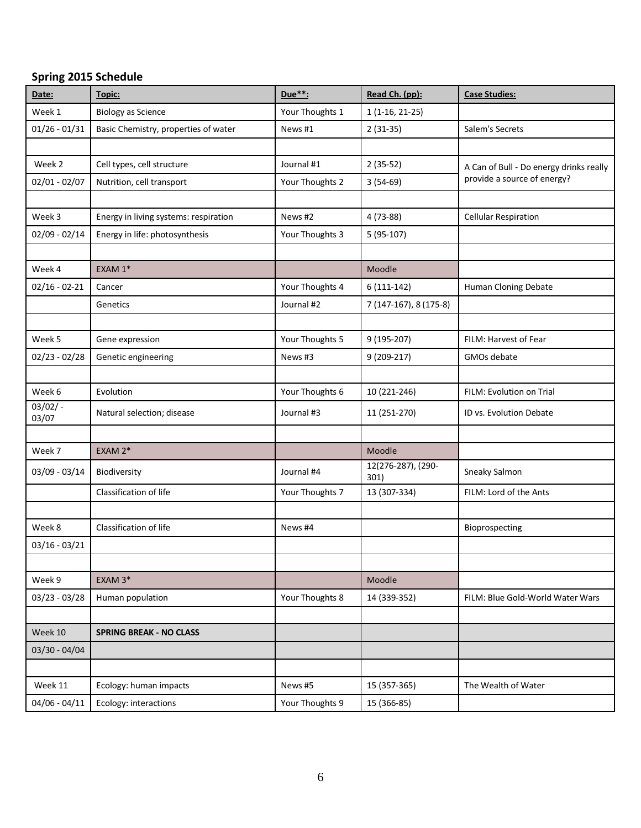#### **Spring 2015 Schedule**

| Date:               | Topic:                                | Due**:          | Read Ch. (pp):             | <b>Case Studies:</b>                                                   |
|---------------------|---------------------------------------|-----------------|----------------------------|------------------------------------------------------------------------|
| Week 1              | <b>Biology as Science</b>             | Your Thoughts 1 | $1(1-16, 21-25)$           |                                                                        |
| $01/26 - 01/31$     | Basic Chemistry, properties of water  | News #1         | $2(31-35)$                 | Salem's Secrets                                                        |
|                     |                                       |                 |                            |                                                                        |
| Week 2              | Cell types, cell structure            | Journal #1      | $2(35-52)$                 | A Can of Bull - Do energy drinks really<br>provide a source of energy? |
| $02/01 - 02/07$     | Nutrition, cell transport             | Your Thoughts 2 | $3(54-69)$                 |                                                                        |
|                     |                                       |                 |                            |                                                                        |
| Week 3              | Energy in living systems: respiration | News #2         | $4(73-88)$                 | <b>Cellular Respiration</b>                                            |
| $02/09 - 02/14$     | Energy in life: photosynthesis        | Your Thoughts 3 | $5(95-107)$                |                                                                        |
|                     |                                       |                 |                            |                                                                        |
| Week 4              | EXAM 1*                               |                 | Moodle                     |                                                                        |
| $02/16 - 02 - 21$   | Cancer                                | Your Thoughts 4 | $6(111-142)$               | Human Cloning Debate                                                   |
|                     | Genetics                              | Journal #2      | 7 (147-167), 8 (175-8)     |                                                                        |
|                     |                                       |                 |                            |                                                                        |
| Week 5              | Gene expression                       | Your Thoughts 5 | 9 (195-207)                | FILM: Harvest of Fear                                                  |
| $02/23 - 02/28$     | Genetic engineering                   | News #3         | 9 (209-217)                | GMOs debate                                                            |
|                     |                                       |                 |                            |                                                                        |
| Week 6              | Evolution                             | Your Thoughts 6 | 10 (221-246)               | FILM: Evolution on Trial                                               |
| $03/02/ -$<br>03/07 | Natural selection; disease            | Journal #3      | 11 (251-270)               | ID vs. Evolution Debate                                                |
|                     |                                       |                 |                            |                                                                        |
| Week 7              | EXAM 2*                               |                 | Moodle                     |                                                                        |
| 03/09 - 03/14       | Biodiversity                          | Journal #4      | 12(276-287), (290-<br>301) | Sneaky Salmon                                                          |
|                     | Classification of life                | Your Thoughts 7 | 13 (307-334)               | FILM: Lord of the Ants                                                 |
|                     |                                       |                 |                            |                                                                        |
| Week 8              | Classification of life                | News #4         |                            | Bioprospecting                                                         |
| $03/16 - 03/21$     |                                       |                 |                            |                                                                        |
|                     |                                       |                 |                            |                                                                        |
| Week 9              | EXAM 3*                               |                 | Moodle                     |                                                                        |
| 03/23 - 03/28       | Human population                      | Your Thoughts 8 | 14 (339-352)               | FILM: Blue Gold-World Water Wars                                       |
|                     |                                       |                 |                            |                                                                        |
| Week 10             | <b>SPRING BREAK - NO CLASS</b>        |                 |                            |                                                                        |
| 03/30 - 04/04       |                                       |                 |                            |                                                                        |
|                     |                                       |                 |                            |                                                                        |
| Week 11             | Ecology: human impacts                | News #5         | 15 (357-365)               | The Wealth of Water                                                    |
| $04/06 - 04/11$     | Ecology: interactions                 | Your Thoughts 9 | 15 (366-85)                |                                                                        |